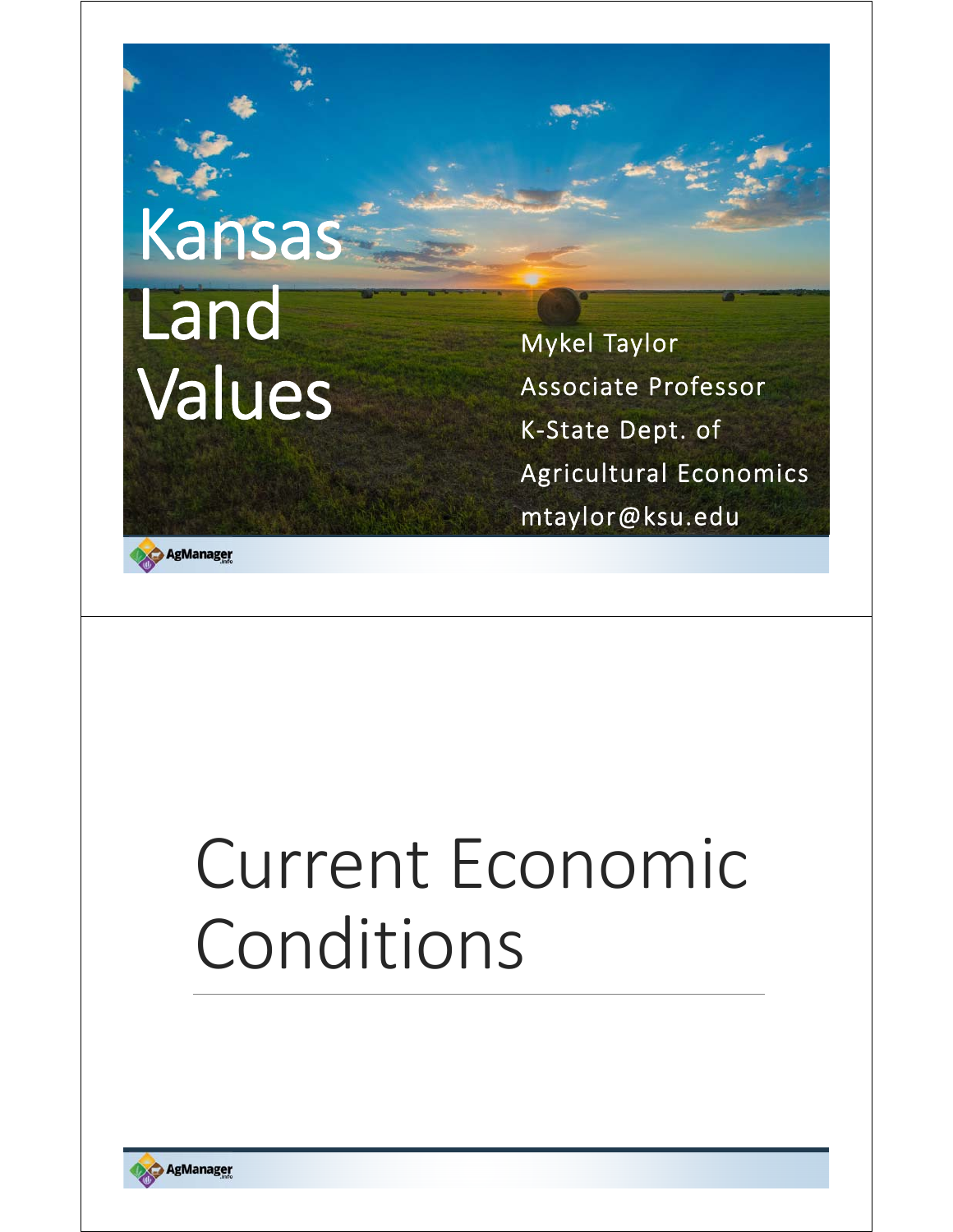# Kansas Land Values

Mykel Taylor Associate Professor K‐State Dept. of Agricultural Economics mtaylor@ksu.edu

AgManager

# Current Economic Conditions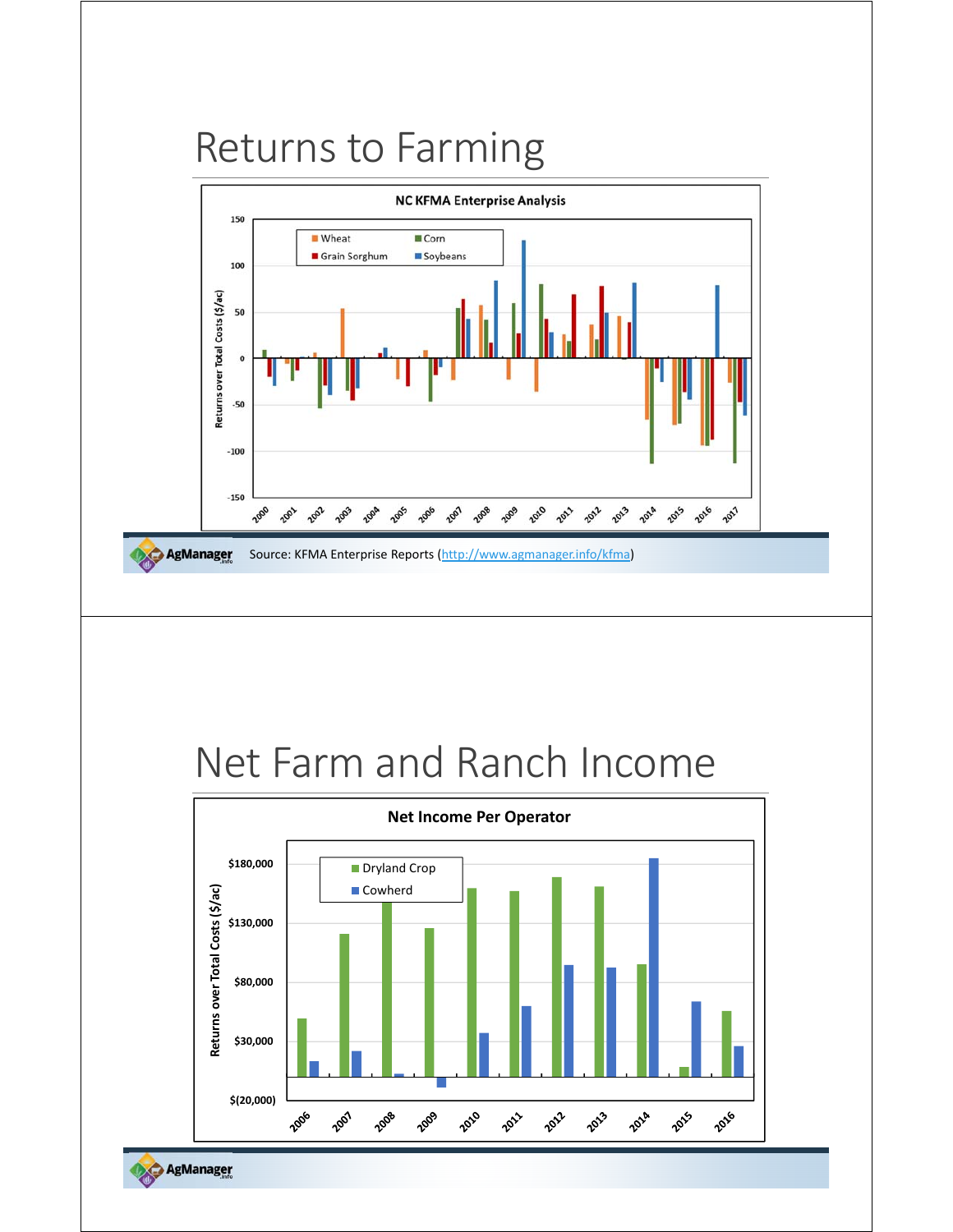### Returns to Farming



### Net Farm and Ranch Income



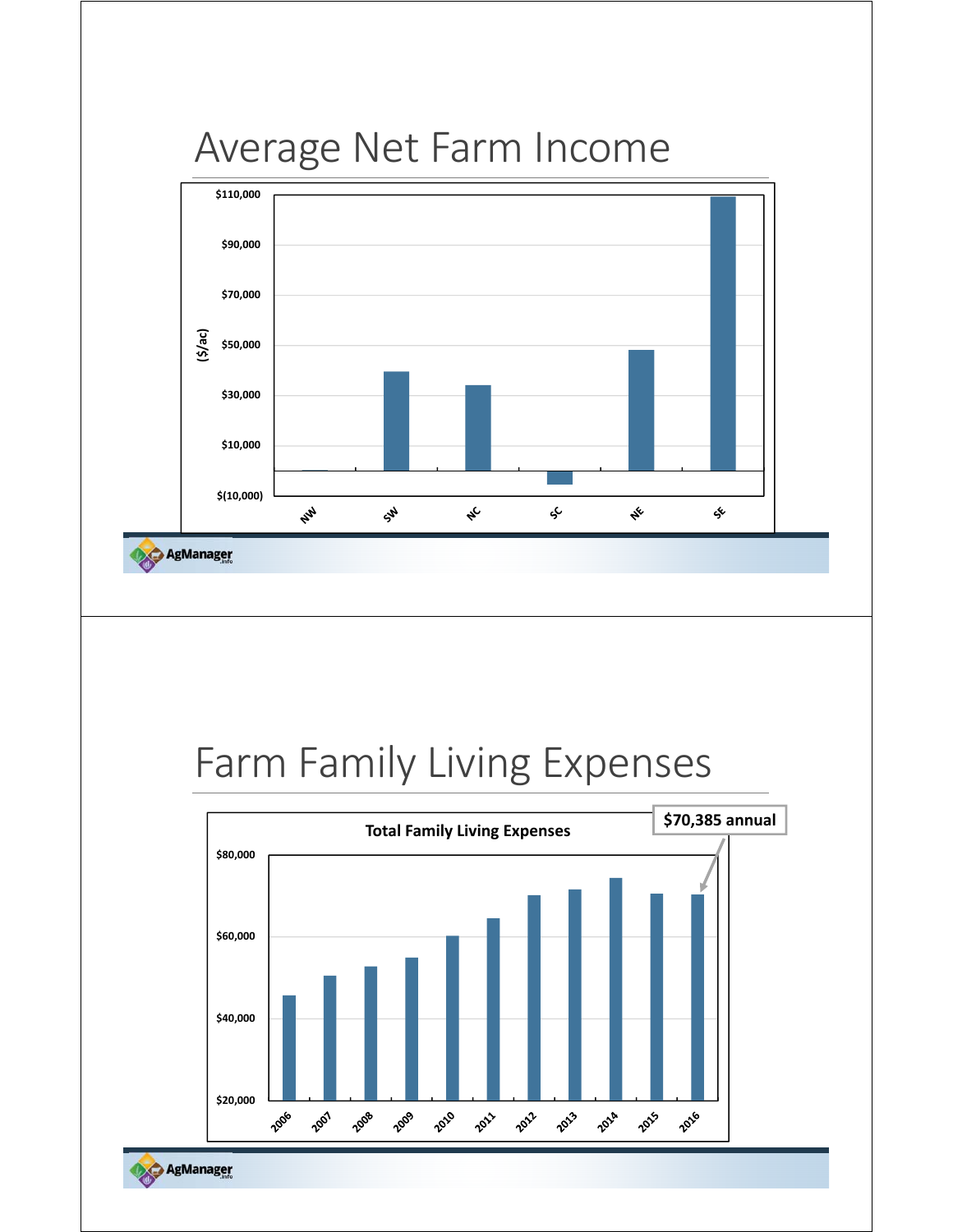### Average Net Farm Income



### Farm Family Living Expenses



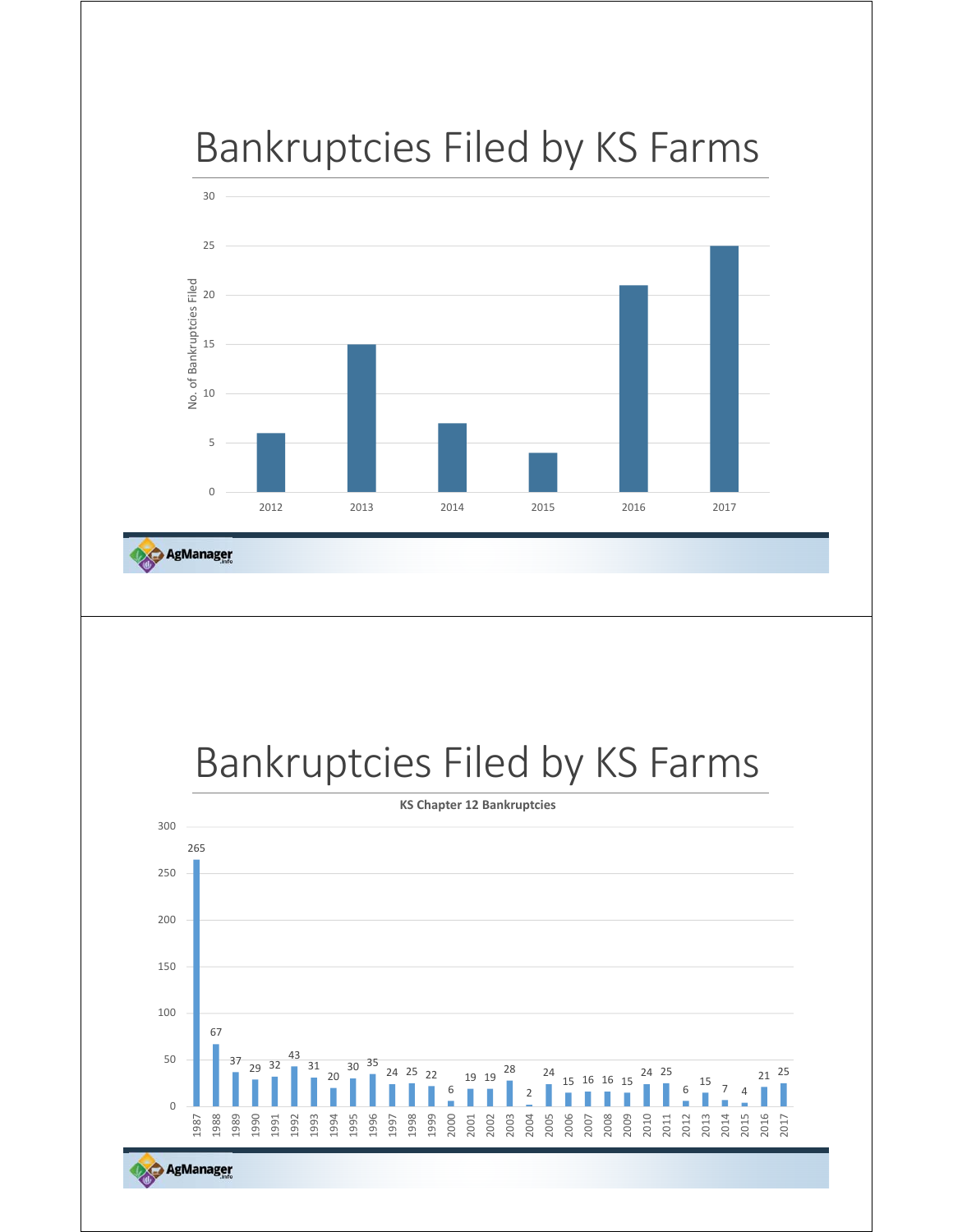



AgManager

### Bankruptcies Filed by KS Farms



AgManager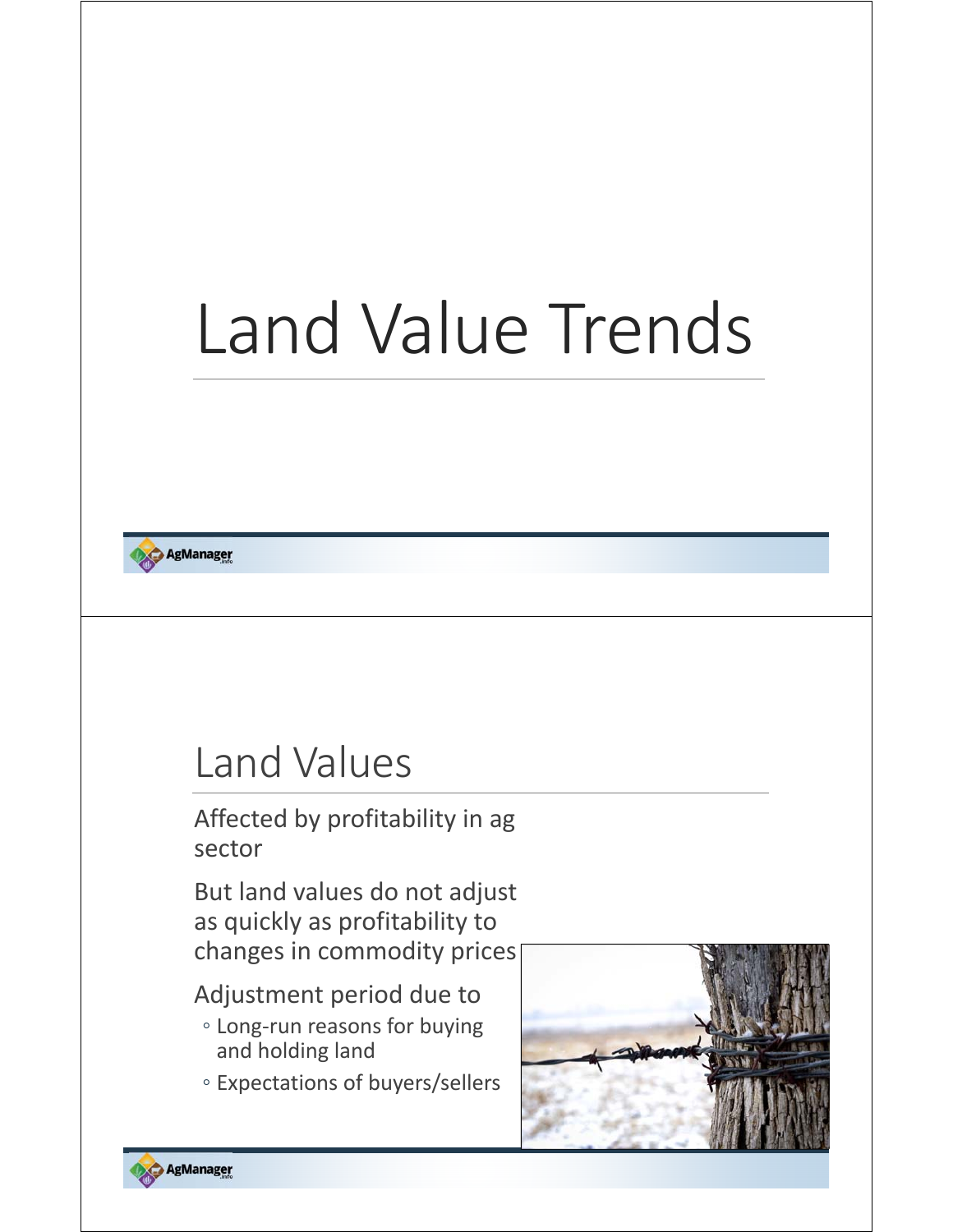# Land Value Trends

**AgManager** 

### Land Values

Affected by profitability in ag sector

But land values do not adjust as quickly as profitability to changes in commodity prices

#### Adjustment period due to

- Long‐run reasons for buying and holding land
- Expectations of buyers/sellers

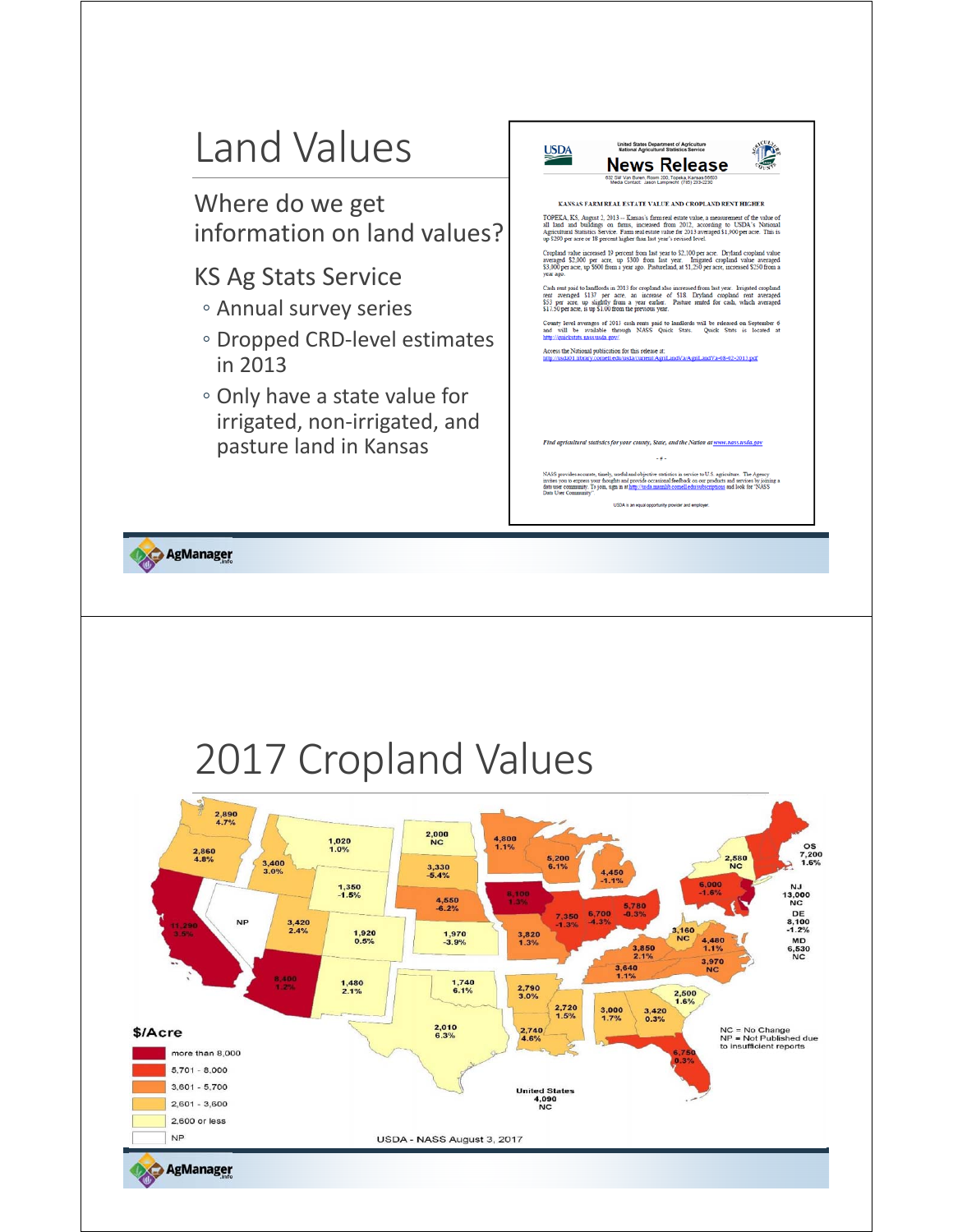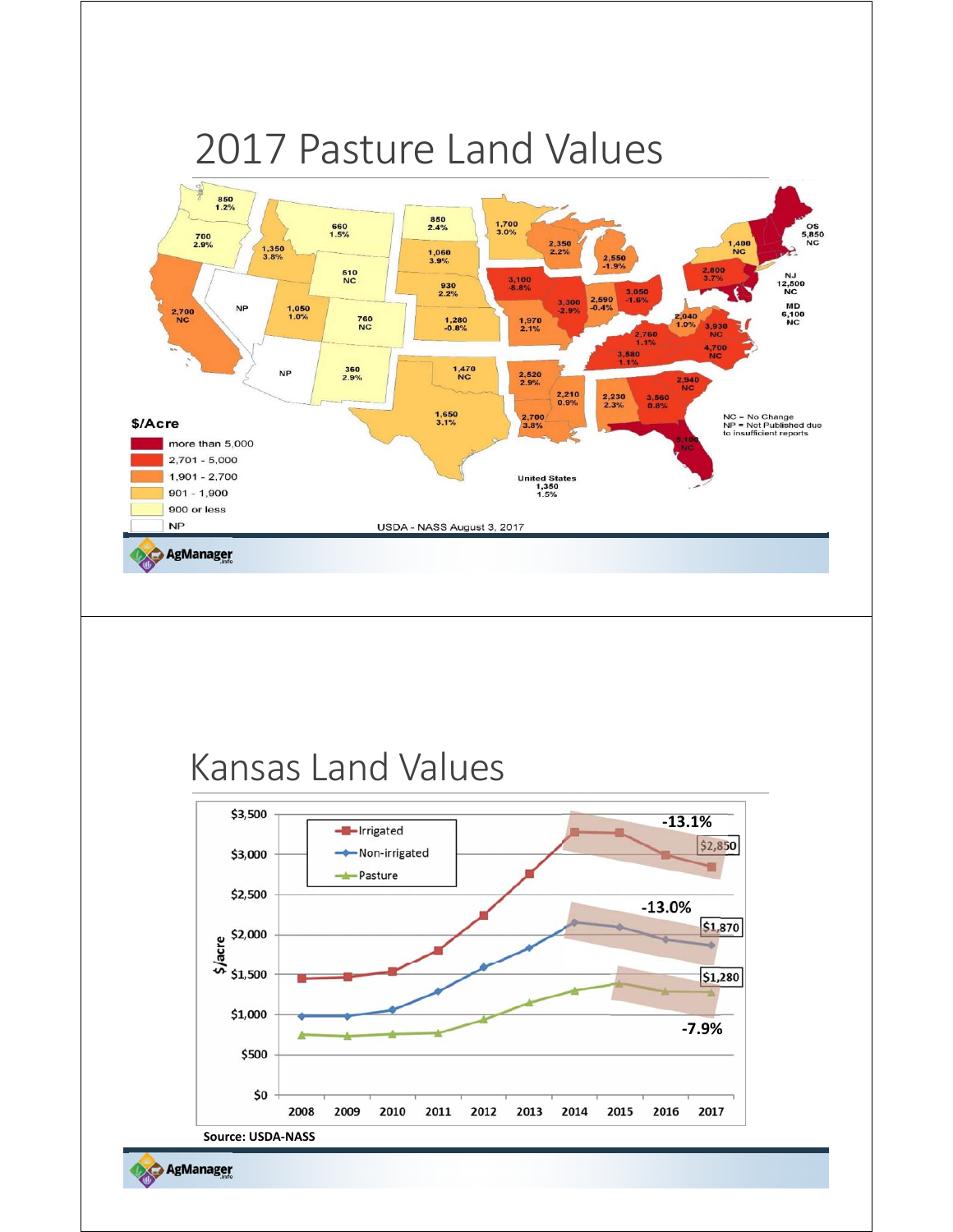

2017

2016

**Source: USDA‐NASS**

\$0

2008

2009

2010

2011

2012

2013

2014

2015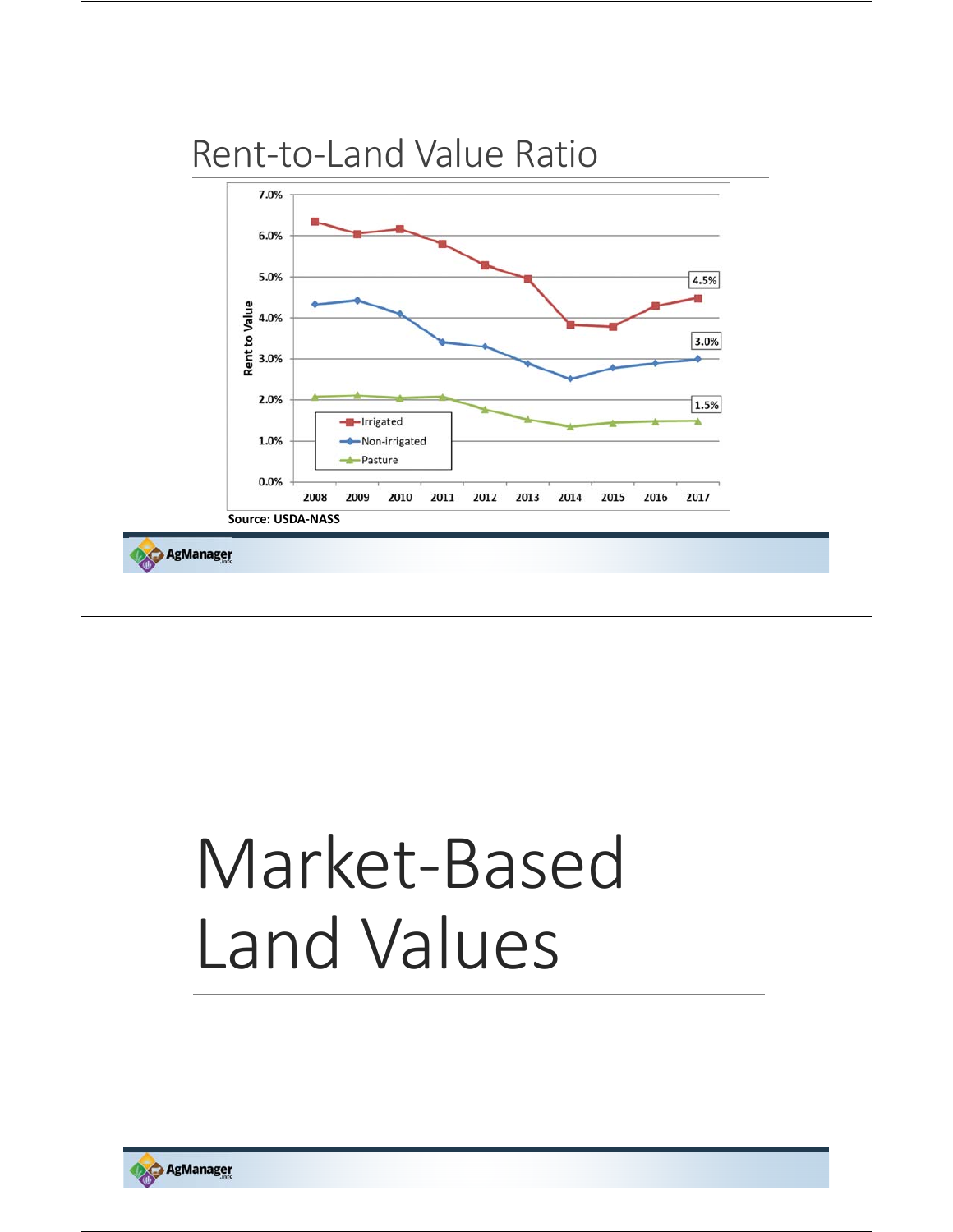

## Market‐Based Land Values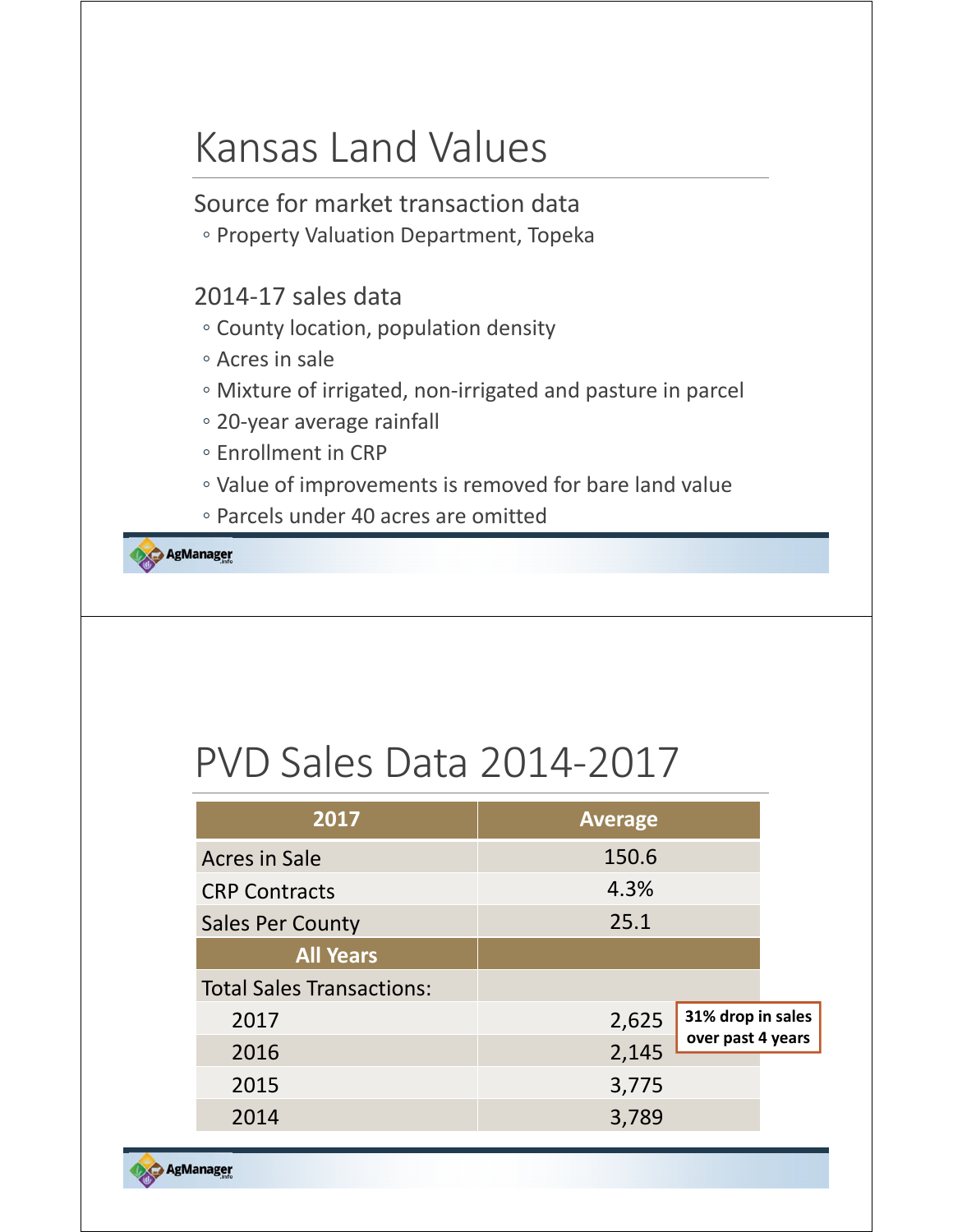### Kansas Land Values

Source for market transaction data

◦ Property Valuation Department, Topeka

#### 2014‐17 sales data

- County location, population density
- Acres in sale
- Mixture of irrigated, non‐irrigated and pasture in parcel
- 20‐year average rainfall
- Enrollment in CRP
- Value of improvements is removed for bare land value
- Parcels under 40 acres are omitted

AgManager

## PVD Sales Data 2014‐2017

| 2017                             | <b>Average</b> |                   |
|----------------------------------|----------------|-------------------|
| <b>Acres in Sale</b>             | 150.6          |                   |
| <b>CRP Contracts</b>             | 4.3%           |                   |
| <b>Sales Per County</b>          | 25.1           |                   |
| <b>All Years</b>                 |                |                   |
| <b>Total Sales Transactions:</b> |                |                   |
| 2017                             | 2,625          | 31% drop in sales |
| 2016                             | 2,145          | over past 4 years |
| 2015                             | 3,775          |                   |
| 2014                             | 3,789          |                   |

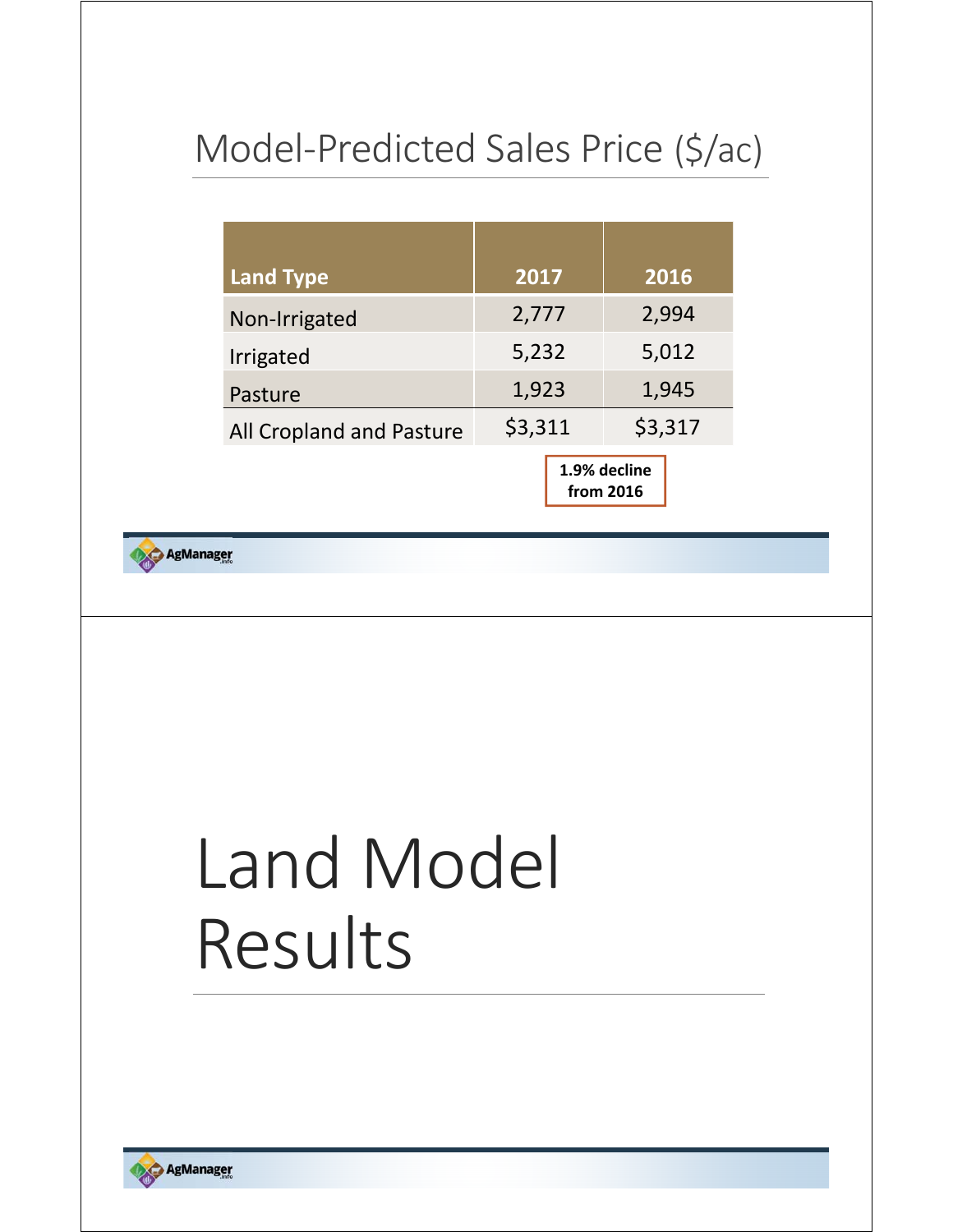### Model‐Predicted Sales Price (\$/ac)

| <b>Land Type</b>         | 2017    | 2016                      |  |  |
|--------------------------|---------|---------------------------|--|--|
| Non-Irrigated            | 2,777   | 2,994                     |  |  |
| Irrigated                | 5,232   | 5,012                     |  |  |
| Pasture                  | 1,923   | 1,945                     |  |  |
| All Cropland and Pasture | \$3,311 | \$3,317                   |  |  |
|                          |         | 1.9% decline<br>from 2016 |  |  |

**AgManager** 

# Land Model Results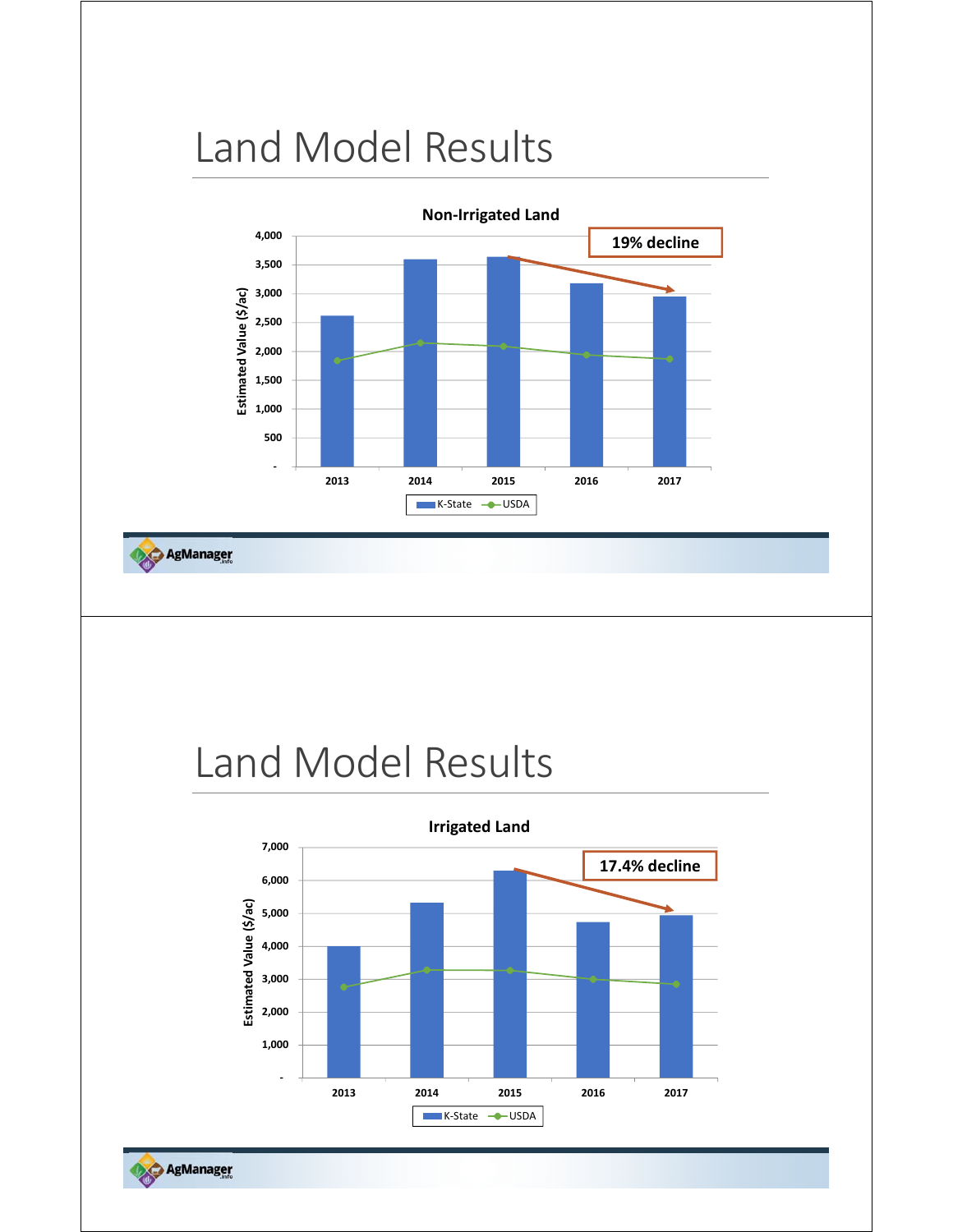## Land Model Results



AgManager

### Land Model Results

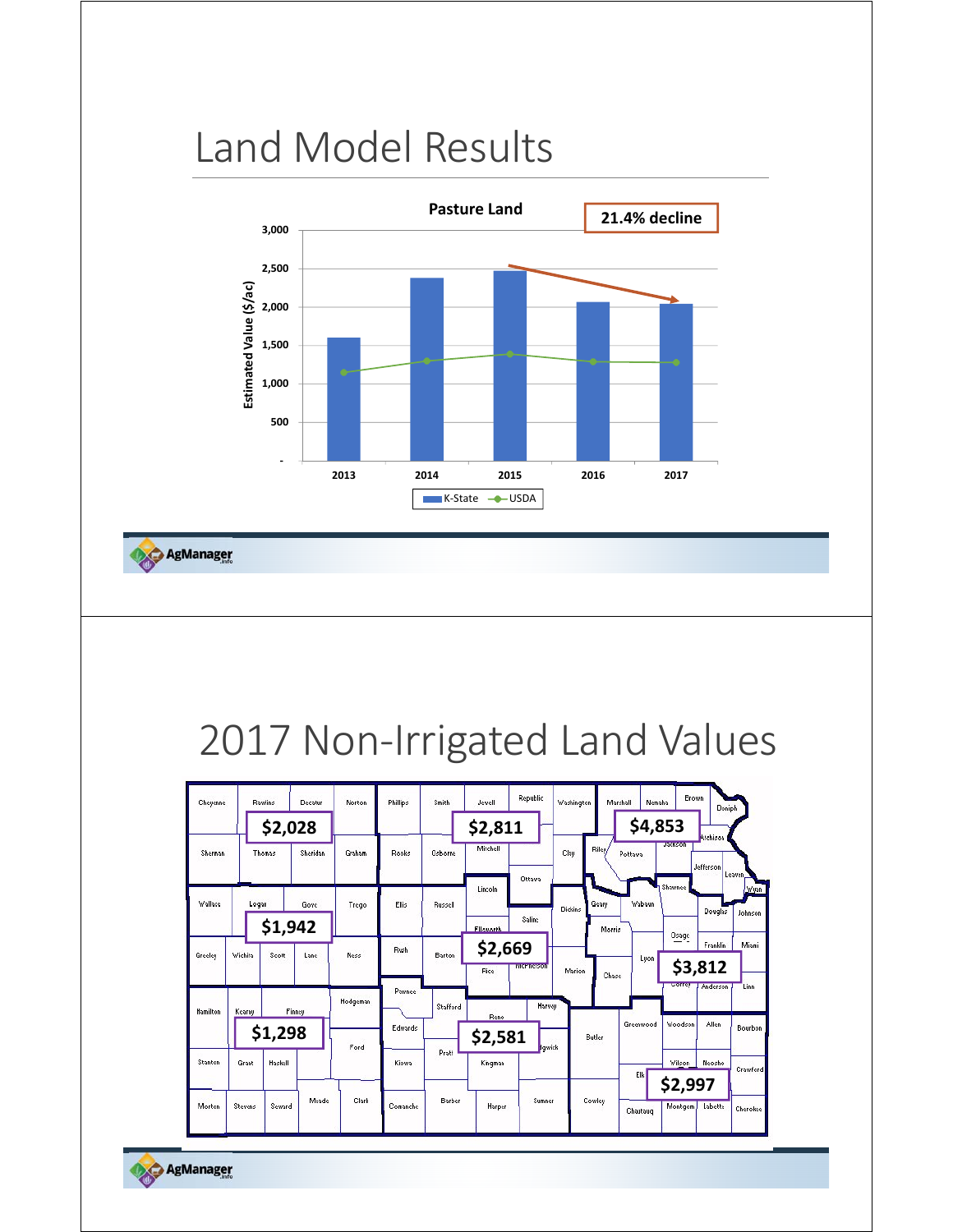## Land Model Results



AgManager

## 2017 Non-Irrigated Land Values

| Cheyenne       |         | <b>Rawling</b> | Decatur  | Norton   | Phillips | Smith    | Republic<br>Jewell |                  | <b>Brown</b><br>Washington<br>Marshall<br>Nemaha<br>Doniph |              |           |                    |                     |                 |
|----------------|---------|----------------|----------|----------|----------|----------|--------------------|------------------|------------------------------------------------------------|--------------|-----------|--------------------|---------------------|-----------------|
|                |         | \$2,028        |          |          |          |          | \$2,811            |                  |                                                            |              | \$4,853   |                    | Atchison            |                 |
| Sherman        |         | Thomas         | Sheridan | Graham   | Rooks    | Osborne  | Mitchell           |                  | Clay                                                       | <b>Riley</b> | Pottawa   | Jackson            | Jefferson           |                 |
| <b>Wallace</b> | Logan   |                | Gove     | Trego    | Ellis    | Russell  | Lincoln            | Ottawa           |                                                            | Geary        | Wabaun    | Shawnee            |                     | Leaven,<br>Wyan |
|                |         | \$1,942        |          |          |          |          | <b>Filcworth</b>   | Saline           | Dickins                                                    | Morris       |           | Osage              | Douglas             | Johnson         |
| Greeley        | Wichita | Scott          | Lane     | Ness     | Rush     | Barton   | \$2,669<br>Rice    | <b>MCPherson</b> | Marion                                                     | Chase        | Lyon      |                    | Franklin<br>\$3,812 | Miami           |
| Hamilton       | Kearny  |                | Finney   | Hodgeman | Pawnee   | Stafford | Reno               | Harvey           |                                                            |              | Greenwood | Correy<br>Woodson  | Anderson<br>Allen   | Linn            |
|                |         | \$1,298        |          | Ford     | Edwards  |          | \$2,581            | <b>Ygwick</b>    |                                                            | Butler       |           |                    |                     | Bourbon         |
| Stanton        | Grant   | Haskell        |          |          | Kiowa    | Pratt    | Kingman            |                  |                                                            |              | Elk       | Wilson             | Neosho              | Crawford        |
| Morton         | Stevens | Seward         | Meade    | Clark    | Comanche | Barber   | Harper             | Sumner           |                                                            | Cowley       | Chautaug  | \$2,997<br>Montgom | Labette             | Cherokee        |

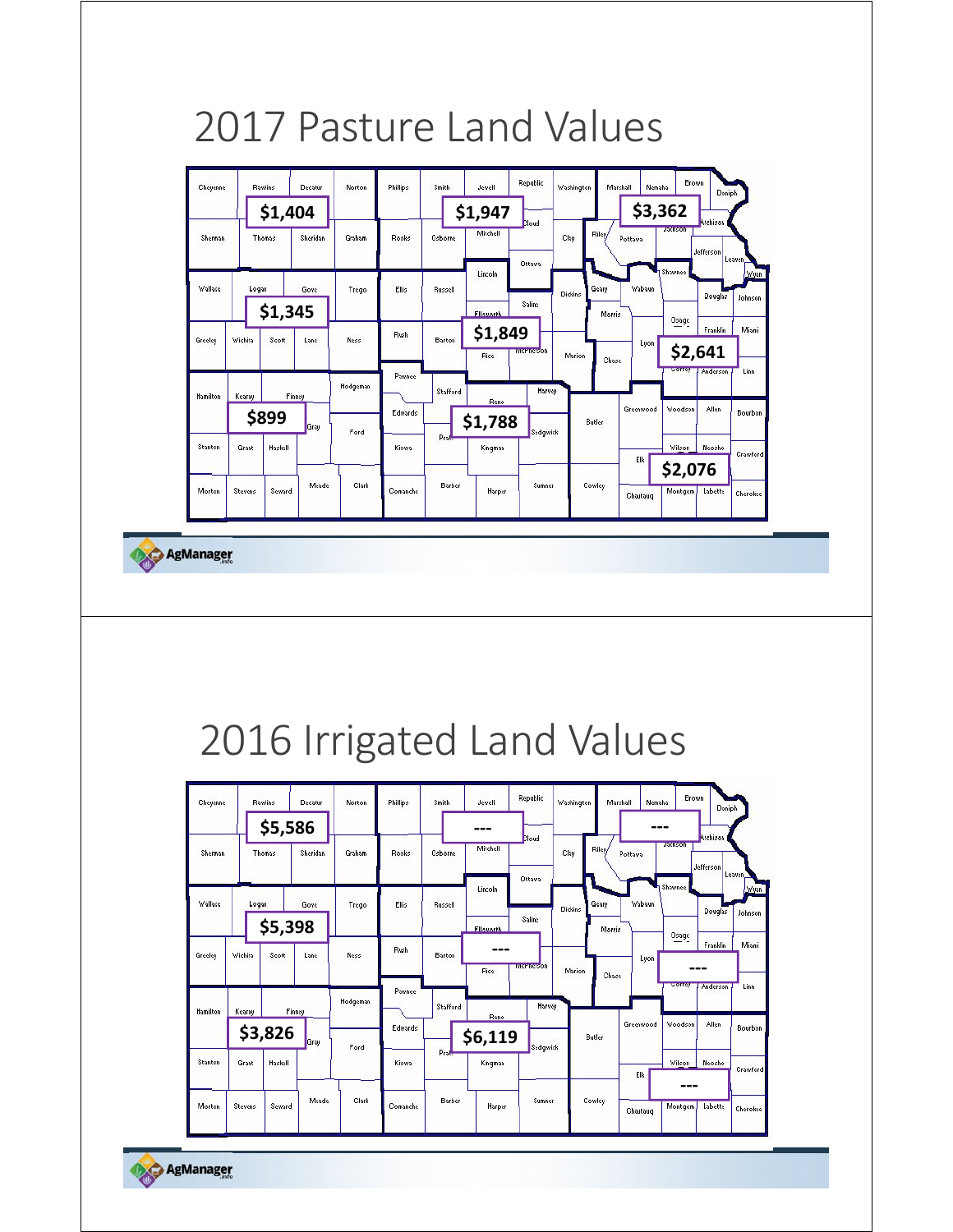### 2017 Pasture Land Values



AgManager

### 2016 Irrigated Land Values

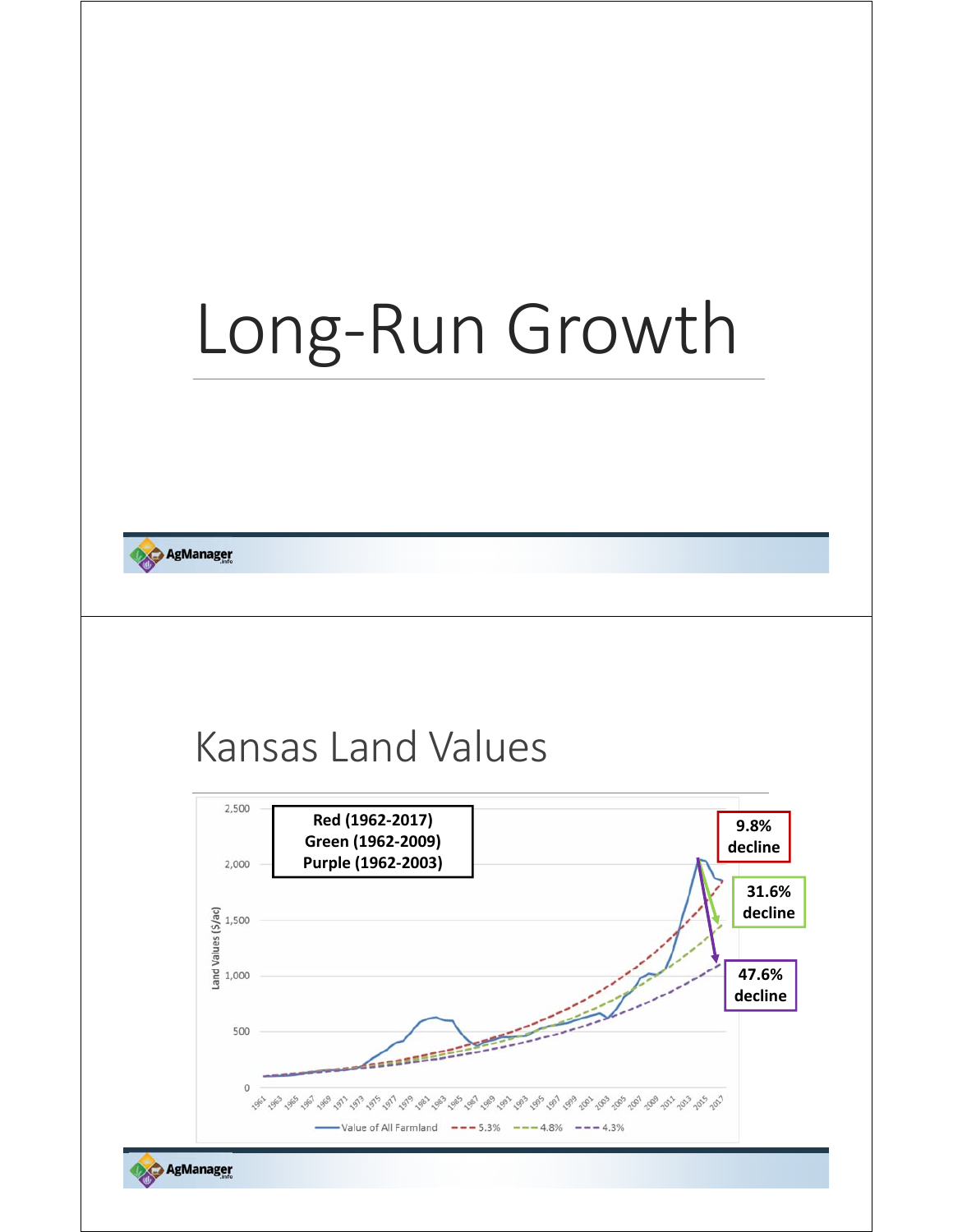# Long‐Run Growth

**AgManager** 

### Kansas Land Values